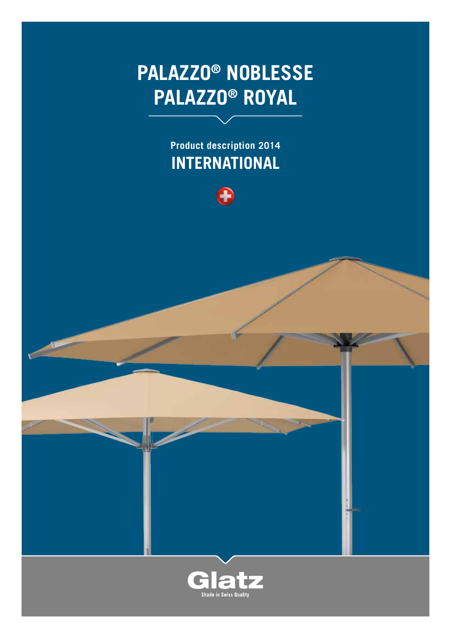# **PALAZZo® Noblesse PALAZZo® ROYAL**

**Product description 2014 International**



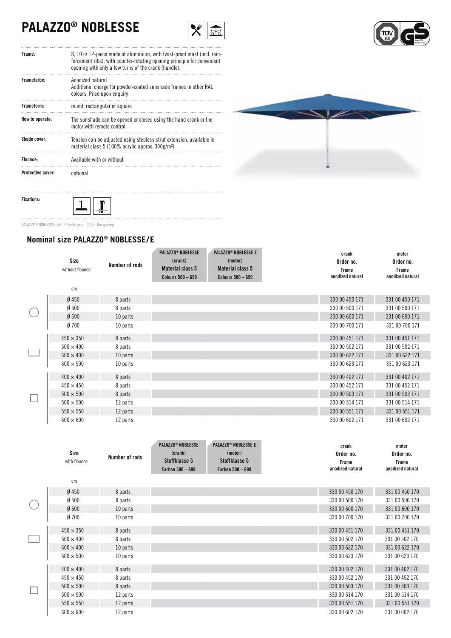# **PALAZZO® NOBLESSE**





| Frame:                   | 8, 10 or 12-piece made of aluminium, with twist-proof mast (incl. rein-<br>forcement ribs), with counter-rotating opening principle for convenient<br>opening with only a few turns of the crank (handle). |
|--------------------------|------------------------------------------------------------------------------------------------------------------------------------------------------------------------------------------------------------|
| Framefarhe:              | Anodized natural<br>Additional charge for powder-coated sunshade frames in other RAL<br>colours. Price upon enquiry                                                                                        |
| Frameform:               | round, rectangular or square                                                                                                                                                                               |
| How to operate:          | The sunshade can be opened or closed using the hand crank or the<br>motor with remote control                                                                                                              |
| Shade cover:             | Tension can be adjusted using stepless strut extension, available in<br>material class 5 (100% acrylic approx. 300g/m <sup>2</sup> )                                                                       |
| Flounce:                 | Available with or without                                                                                                                                                                                  |
| <b>Protective cover:</b> | optional                                                                                                                                                                                                   |



PALAZZO<sup>®</sup> NOBLESSE, Int. Patents pend. @ Int. Design reg.

 $\mathbf 1$ 

**Fixations:**

### **Nominal size PALAZZO® NOBLESSE / E**

 $\mathbf{r}$ 

| Size<br>without flounce | Number of rods | <b>PALAZZO<sup>®</sup> NOBLESSE</b><br>(crank)<br><b>Material class 5</b><br><b>Colours 500 - 699</b> | <b>PALAZZO<sup>®</sup> NOBLESSE E</b><br>(motor)<br><b>Material class 5</b><br><b>Colours 500 - 699</b> | crank<br>Order no.<br>Frame<br>anodized natural | motor<br>Order no.<br>Frame<br>anodized natural |
|-------------------------|----------------|-------------------------------------------------------------------------------------------------------|---------------------------------------------------------------------------------------------------------|-------------------------------------------------|-------------------------------------------------|
| cm                      |                |                                                                                                       |                                                                                                         |                                                 |                                                 |
| $Ø$ 450                 | 8 parts        |                                                                                                       |                                                                                                         | 330 00 450 171                                  | 331 00 450 171                                  |
| Ø500                    | 8 parts        |                                                                                                       |                                                                                                         | 330 00 500 171                                  | 331 00 500 171                                  |
| Ø600                    | 10 parts       |                                                                                                       |                                                                                                         | 330 00 600 171                                  | 331 00 600 171                                  |
| Ø700                    | 10 parts       |                                                                                                       |                                                                                                         | 330 00 700 171                                  | 331 00 700 171                                  |
| $450 \times 350$        | 8 parts        |                                                                                                       |                                                                                                         | 330 00 451 171                                  | 331 00 451 171                                  |
| $500 \times 400$        | 8 parts        |                                                                                                       |                                                                                                         | 330 00 502 171                                  | 331 00 502 171                                  |
| $600 \times 400$        | 10 parts       |                                                                                                       |                                                                                                         | 330 00 622 171                                  | 331 00 622 171                                  |
| $600 \times 500$        | 10 parts       |                                                                                                       |                                                                                                         | 330 00 623 171                                  | 331 00 623 171                                  |
| $400 \times 400$        | 8 parts        |                                                                                                       |                                                                                                         | 330 00 402 171                                  | 331 00 402 171                                  |
| $450 \times 450$        | 8 parts        |                                                                                                       |                                                                                                         | 330 00 452 171                                  | 331 00 452 171                                  |
| $500 \times 500$        | 8 parts        |                                                                                                       |                                                                                                         | 330 00 503 171                                  | 331 00 503 171                                  |
| $500 \times 500$        | 12 parts       |                                                                                                       |                                                                                                         | 330 00 514 171                                  | 331 00 514 171                                  |
| $550 \times 550$        | 12 parts       |                                                                                                       |                                                                                                         | 330 00 551 171                                  | 331 00 551 171                                  |
| $600 \times 600$        | 12 parts       |                                                                                                       |                                                                                                         | 330 00 602 171                                  | 331 00 602 171                                  |

|           | Size<br>with flounce<br>cm | Number of rods | <b>PALAZZO<sup>®</sup> NOBLESSE</b><br>(crank)<br>Stoffklasse 5<br>Farben 500 - 699 | <b>PALAZZO<sup>®</sup> NOBLESSE E</b><br>(motor)<br>Stoffklasse 5<br><b>Farben 500 - 699</b> | crank<br>Order no.<br>Frame<br>anodized natural | motor<br>Order no.<br>Frame<br>anodized natural |
|-----------|----------------------------|----------------|-------------------------------------------------------------------------------------|----------------------------------------------------------------------------------------------|-------------------------------------------------|-------------------------------------------------|
|           |                            |                |                                                                                     |                                                                                              |                                                 |                                                 |
|           | $Ø$ 450                    | 8 parts        |                                                                                     |                                                                                              | 330 00 450 170                                  | 331 00 450 170                                  |
| $\bigcap$ | Ø500                       | 8 parts        |                                                                                     |                                                                                              | 330 00 500 170                                  | 331 00 500 170                                  |
|           | Ø600                       | 10 parts       |                                                                                     |                                                                                              | 330 00 600 170                                  | 331 00 600 170                                  |
|           | $Ø$ 700                    | 10 parts       |                                                                                     |                                                                                              | 330 00 700 170                                  | 331 00 700 170                                  |
|           | $450 \times 350$           | 8 parts        |                                                                                     |                                                                                              | 330 00 451 170                                  | 331 00 451 170                                  |
| L         | $500 \times 400$           | 8 parts        |                                                                                     |                                                                                              | 330 00 502 170                                  | 331 00 502 170                                  |
|           | $600 \times 400$           | 10 parts       |                                                                                     |                                                                                              | 330 00 622 170                                  | 331 00 622 170                                  |
|           | $600 \times 500$           | 10 parts       |                                                                                     |                                                                                              | 330 00 623 170                                  | 331 00 623 170                                  |
|           | $400 \times 400$           | 8 parts        |                                                                                     |                                                                                              | 330 00 402 170                                  | 331 00 402 170                                  |
|           | $450 \times 450$           | 8 parts        |                                                                                     |                                                                                              | 330 00 452 170                                  | 331 00 452 170                                  |
| $\Box$    | $500 \times 500$           | 8 parts        |                                                                                     |                                                                                              | 330 00 503 170                                  | 331 00 503 170                                  |
|           | $500 \times 500$           | 12 parts       |                                                                                     |                                                                                              | 330 00 514 170                                  | 331 00 514 170                                  |
|           | $550 \times 550$           | 12 parts       |                                                                                     |                                                                                              | 330 00 551 170                                  | 331 00 551 170                                  |
|           | $600 \times 600$           | 12 parts       |                                                                                     |                                                                                              | 330 00 602 170                                  | 331 00 602 170                                  |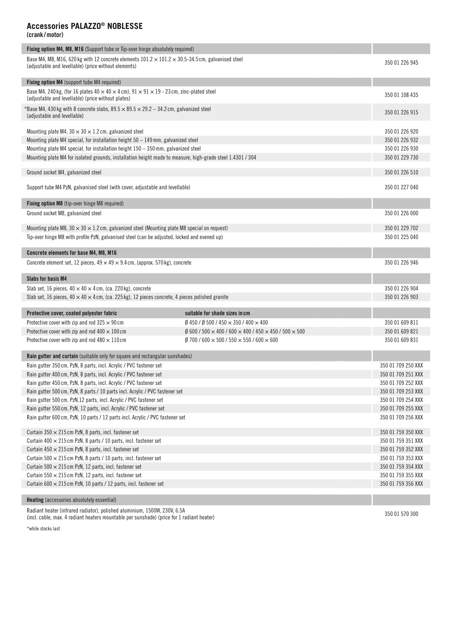#### **Accessories PALAZZO® NOBLESSE**

**(crank /motor)**

| Fixing option M4, M8, M16 (Support tube or Tip-over hinge absolutely required)                                                                                         |                                                                                             |                    |  |  |  |  |  |
|------------------------------------------------------------------------------------------------------------------------------------------------------------------------|---------------------------------------------------------------------------------------------|--------------------|--|--|--|--|--|
| Base M4, M8, M16, 620 kg with 12 concrete elements $101.2 \times 101.2 \times 30.5$ -34.5 cm, galvanised steel<br>(adjustable and levellable) (price without elements) |                                                                                             |                    |  |  |  |  |  |
| Fixing option M4 (support tube M4 required)                                                                                                                            |                                                                                             |                    |  |  |  |  |  |
| Base M4, 240 kg, (for 16 plates $40 \times 40 \times 4$ cm), $91 \times 91 \times 19$ - 23 cm, zinc-plated steel<br>(adjustable and levellable) (price without plates) |                                                                                             |                    |  |  |  |  |  |
| *Base M4, 430 kg with 8 concrete slabs, $89.5 \times 89.5 \times 29.2 - 34.2$ cm, galvanized steel<br>(adjustable and levellable)                                      |                                                                                             | 350 01 226 915     |  |  |  |  |  |
| Mounting plate M4, $30 \times 30 \times 1.2$ cm, galvanized steel                                                                                                      |                                                                                             | 350 01 226 920     |  |  |  |  |  |
| Mounting plate M4 special, for installation height $50 - 149$ mm, galvanized steel                                                                                     |                                                                                             | 350 01 226 932     |  |  |  |  |  |
| Mounting plate M4 special, for installation height $150 - 350$ mm, galvanized steel                                                                                    |                                                                                             | 350 01 226 930     |  |  |  |  |  |
| Mounting plate M4 for isolated grounds, installation height made to measure, high-grade steel 1.4301 / 304                                                             |                                                                                             | 350 01 229 730     |  |  |  |  |  |
| Ground socket M4, galvanized steel                                                                                                                                     |                                                                                             | 350 01 226 510     |  |  |  |  |  |
|                                                                                                                                                                        |                                                                                             |                    |  |  |  |  |  |
| Support tube M4 PzN, galvanised steel (with cover, adjustable and levellable)                                                                                          |                                                                                             | 350 01 227 040     |  |  |  |  |  |
| Fixing option M8 (tip-over hinge M8 required)                                                                                                                          |                                                                                             |                    |  |  |  |  |  |
| Ground socket M8, galvanized steel                                                                                                                                     |                                                                                             | 350 01 226 000     |  |  |  |  |  |
| Mounting plate M8, $30 \times 30 \times 1.2$ cm, galvanized steel (Mounting plate M8 special on request)                                                               |                                                                                             | 350 01 229 702     |  |  |  |  |  |
| Tip-over hinge M8 with profile PzN, galvanised steel (can be adjusted, locked and evened up)                                                                           |                                                                                             |                    |  |  |  |  |  |
| Concrete elements for base M4, M8, M16                                                                                                                                 |                                                                                             |                    |  |  |  |  |  |
| Concrete element set, 12 pieces, $49 \times 49 \times 9.4$ cm, (approx. 570 kg), concrete                                                                              |                                                                                             | 350 01 226 946     |  |  |  |  |  |
| <b>Slabs for basis M4</b>                                                                                                                                              |                                                                                             |                    |  |  |  |  |  |
| Slab set, 16 pieces, $40 \times 40 \times 4$ cm, (ca. 220 kg), concrete                                                                                                |                                                                                             |                    |  |  |  |  |  |
| Slab set, 16 pieces, $40 \times 40 \times 4$ cm, (ca. 225 kg), 12 pieces concrete, 4 pieces polished granite                                                           |                                                                                             | 350 01 226 903     |  |  |  |  |  |
| Protective cover, coated polyester fabric                                                                                                                              | suitable for shade sizes in cm                                                              |                    |  |  |  |  |  |
| Protective cover with zip and rod $325 \times 90$ cm                                                                                                                   | $\emptyset$ 450 / $\emptyset$ 500 / 450 $\times$ 350 / 400 $\times$ 400                     | 350 01 609 811     |  |  |  |  |  |
| Protective cover with zip and rod $400 \times 100$ cm                                                                                                                  | $\emptyset$ 600 / 500 $\times$ 400 / 600 $\times$ 400 / 450 $\times$ 450 / 500 $\times$ 500 | 350 01 609 821     |  |  |  |  |  |
| Protective cover with zip and rod $480 \times 110$ cm                                                                                                                  | $\emptyset$ 700 / 600 $\times$ 500 / 550 $\times$ 550 / 600 $\times$ 600                    | 350 01 609 831     |  |  |  |  |  |
| Rain gutter and curtain (suitable only for square and rectangular sunshades)                                                                                           |                                                                                             |                    |  |  |  |  |  |
| Rain gutter 350 cm, PzN, 8 parts, incl. Acrylic / PVC fastener set                                                                                                     |                                                                                             | 350 01 709 250 XXX |  |  |  |  |  |
| Rain gutter 400 cm, PzN, 8 parts, incl. Acrylic / PVC fastener set                                                                                                     |                                                                                             | 350 01 709 251 XXX |  |  |  |  |  |
| Rain gutter 450 cm, PzN, 8 parts, incl. Acrylic / PVC fastener set                                                                                                     |                                                                                             | 350 01 709 252 XXX |  |  |  |  |  |
| Rain gutter 500 cm, PzN, 8 parts / 10 parts incl. Acrylic / PVC fastener set                                                                                           |                                                                                             | 350 01 709 253 XXX |  |  |  |  |  |
| Rain gutter 500 cm, PzN, 12 parts, incl. Acrylic / PVC fastener set                                                                                                    |                                                                                             | 350 01 709 254 XXX |  |  |  |  |  |
| Rain gutter 550 cm, PzN, 12 parts, incl. Acrylic / PVC fastener set                                                                                                    |                                                                                             | 350 01 709 255 XXX |  |  |  |  |  |
| Rain gutter 600 cm, PzN, 10 parts / 12 parts incl. Acrylic / PVC fastener set                                                                                          |                                                                                             | 350 01 709 256 XXX |  |  |  |  |  |
| Curtain $350 \times 215$ cm PzN, 8 parts, incl. fastener set                                                                                                           |                                                                                             | 350 01 759 350 XXX |  |  |  |  |  |
| Curtain $400 \times 215$ cm PzN, 8 parts / 10 parts, incl. fastener set                                                                                                |                                                                                             | 350 01 759 351 XXX |  |  |  |  |  |
| Curtain $450 \times 215$ cm PzN, 8 parts, incl. fastener set                                                                                                           |                                                                                             | 350 01 759 352 XXX |  |  |  |  |  |
| Curtain $500 \times 215$ cm PzN, 8 parts / 10 parts, incl. fastener set                                                                                                |                                                                                             | 350 01 759 353 XXX |  |  |  |  |  |
| Curtain 500 $\times$ 215 cm PzN, 12 parts, incl. fastener set                                                                                                          |                                                                                             | 350 01 759 354 XXX |  |  |  |  |  |
| Curtain 550 $\times$ 215 cm PzN, 12 parts, incl. fastener set                                                                                                          |                                                                                             | 350 01 759 355 XXX |  |  |  |  |  |
| Curtain 600 $\times$ 215 cm PzN, 10 parts / 12 parts, incl. fastener set                                                                                               |                                                                                             | 350 01 759 356 XXX |  |  |  |  |  |
| <b>Heating</b> (accessories absolutely essential)                                                                                                                      |                                                                                             |                    |  |  |  |  |  |

Radiant heater (infrared radiator), polished aluminium, 1500W, 230V, 6.5A<br>(incl. cable, max. 4 radiant heaters mountable per sunshade) (price for 1 radiant heater)

\*while stocks last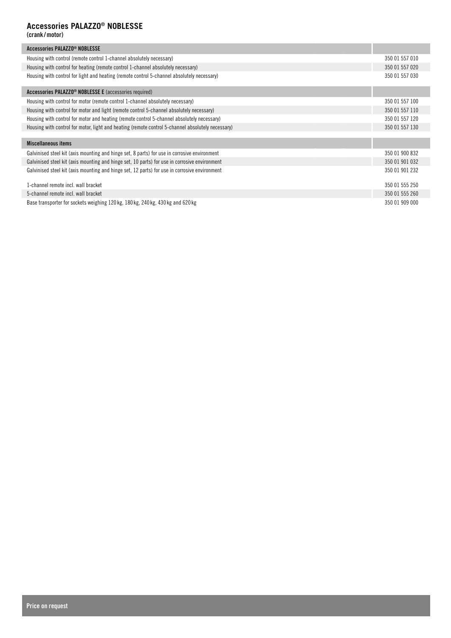## **Accessories PALAZZO® NOBLESSE**

**(crank /motor)**

| Accessories PALAZZO <sup>®</sup> NOBLESSE                                                         |                |
|---------------------------------------------------------------------------------------------------|----------------|
| Housing with control (remote control 1-channel absolutely necessary)                              | 350 01 557 010 |
| Housing with control for heating (remote control 1-channel absolutely necessary)                  | 350 01 557 020 |
| Housing with control for light and heating (remote control 5-channel absolutely necessary)        | 350 01 557 030 |
| Accessories PALAZZO <sup>®</sup> NOBLESSE E (accessories required)                                |                |
| Housing with control for motor (remote control 1-channel absolutely necessary)                    | 350 01 557 100 |
| Housing with control for motor and light (remote control 5-channel absolutely necessary)          | 350 01 557 110 |
| Housing with control for motor and heating (remote control 5-channel absolutely necessary)        | 350 01 557 120 |
| Housing with control for motor, light and heating (remote control 5-channel absolutely necessary) | 350 01 557 130 |
|                                                                                                   |                |
| <b>Miscellaneous items</b>                                                                        |                |
| Galvinised steel kit (axis mounting and hinge set, 8 parts) for use in corrosive environment      | 350 01 900 832 |
| Galvinised steel kit (axis mounting and hinge set, 10 parts) for use in corrosive environment     | 350 01 901 032 |
| Galvinised steel kit (axis mounting and hinge set, 12 parts) for use in corrosive environment     | 350 01 901 232 |
| 1-channel remote incl. wall bracket                                                               | 350 01 555 250 |
| 5-channel remote incl. wall bracket                                                               | 350 01 555 260 |
| Base transporter for sockets weighing 120 kg, 180 kg, 240 kg, 430 kg and 620 kg                   | 350 01 909 000 |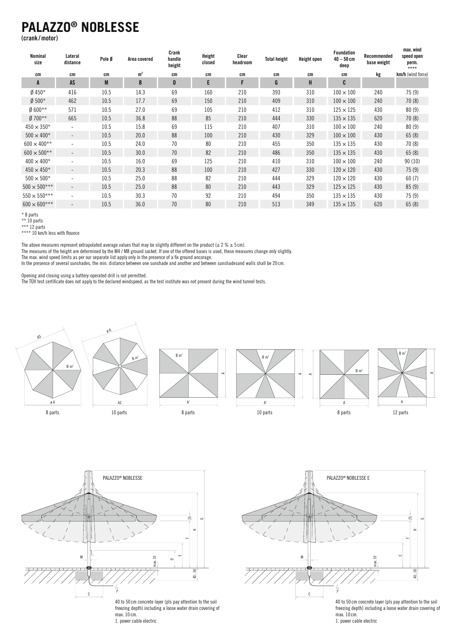## **PALAZZO® NOBLESSE**

**(crank /motor)**

| Nominal<br>size     | Lateral<br>distance      | Pole Ø | Area covered   | Crank<br>handle<br>height | Height<br>closed | Clear<br>headroom | <b>Total height</b> | <b>Height open</b> | <b>Foundation</b><br>$40 - 50$ cm<br>deep | Recommended<br>base weight | max. wind<br>speed open<br>perm.<br>$***$ |
|---------------------|--------------------------|--------|----------------|---------------------------|------------------|-------------------|---------------------|--------------------|-------------------------------------------|----------------------------|-------------------------------------------|
| cm                  | cm                       | cm     | m <sup>2</sup> | cm                        | cm               | cm                | cm                  | cm                 | cm                                        | kg                         | km/h (wind force)                         |
| A                   | AS                       | M      | B              | D                         | E                | F                 | G                   | H                  | C                                         |                            |                                           |
| Ø 450*              | 416                      | 10.5   | 14.3           | 69                        | 160              | 210               | 393                 | 310                | $100 \times 100$                          | 240                        | 75(9)                                     |
| $Ø$ 500*            | 462                      | 10.5   | 17.7           | 69                        | 150              | 210               | 409                 | 310                | $100 \times 100$                          | 240                        | 70(8)                                     |
| $0.600**$           | 571                      | 10.5   | 27.0           | 69                        | 105              | 210               | 412                 | 310                | $125 \times 125$                          | 430                        | 80(9)                                     |
| $Ø700**$            | 665                      | 10.5   | 36.8           | 88                        | 85               | 210               | 444                 | 330                | $135 \times 135$                          | 620                        | 70(8)                                     |
| $450 \times 350*$   | $\overline{\phantom{a}}$ | 10.5   | 15.8           | 69                        | 115              | 210               | 407                 | 310                | $100 \times 100$                          | 240                        | 80(9)                                     |
| $500 \times 400*$   | $\overline{\phantom{0}}$ | 10.5   | 20.0           | 88                        | 100              | 210               | 430                 | 329                | $100 \times 100$                          | 430                        | 65(8)                                     |
| $600 \times 400**$  | $\overline{\phantom{0}}$ | 10.5   | 24.0           | 70                        | 80               | 210               | 455                 | 350                | $135 \times 135$                          | 430                        | 70(8)                                     |
| $600 \times 500**$  | $\qquad \qquad -$        | 10.5   | 30.0           | 70                        | 82               | 210               | 486                 | 350                | $135 \times 135$                          | 430                        | 65(8)                                     |
| $400 \times 400*$   | $\overline{\phantom{a}}$ | 10.5   | 16.0           | 69                        | 125              | 210               | 410                 | 310                | $100 \times 100$                          | 240                        | 90 (10)                                   |
| $450 \times 450*$   | $\qquad \qquad -$        | 10.5   | 20.3           | 88                        | 100              | 210               | 427                 | 330                | $120 \times 120$                          | 430                        | 75(9)                                     |
| $500 \times 500*$   | $\overline{\phantom{a}}$ | 10.5   | 25.0           | 88                        | 82               | 210               | 444                 | 329                | $120 \times 120$                          | 430                        | 60(7)                                     |
| $500 \times 500***$ | $\overline{\phantom{a}}$ | 10.5   | 25.0           | 88                        | 80               | 210               | 443                 | 329                | $125 \times 125$                          | 430                        | 85(9)                                     |
| $550 \times 550***$ | $\overline{\phantom{a}}$ | 10.5   | 30.3           | 70                        | 92               | 210               | 494                 | 350                | $135 \times 135$                          | 430                        | 75 (9)                                    |
| $600 \times 600***$ | $\overline{\phantom{a}}$ | 10.5   | 36.0           | 70                        | 80               | 210               | 513                 | 349                | $135 \times 135$                          | 620                        | 65(8)                                     |

\* 8 parts

\*\* 10 parts

\*\*\* 12 parts

\*\*\*\* 10 km/h less with flounce

The above measures represent extrapolated average values that may be slightly different on the product ( $\pm$  2  $\%$   $\pm$  5 cm).

The max. wind speed limits as per our separate list apply only in the presence of a fix ground ancorage. The measures of the height are determined by the M4 / M8 ground socket. If one of the offered bases is used, these measures change only slightly.

In the presence of several sunshades, the min. distance between one sunshade and another and between sunshadesand walls shall be 20 cm.

Opening and closing using a battery-operated drill is not permitted.

ening and closing using a battery-operated drill is not permitted.<br>: TÜV test certificate does not apply to the declared windspeed, as the test institute was not present during the wind tu esent during the wind tunne The TÜV test certificate does not apply to the declared windspeed, as the test institute was not present during the wind tunnel tests.







1. power cable electric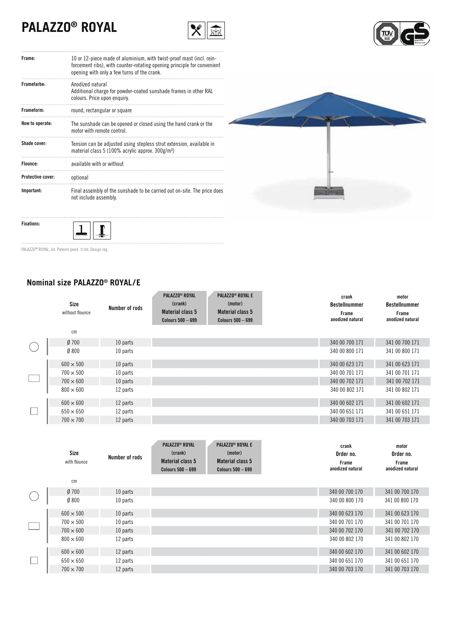# **PALAZZO® ROYAL**





| Frame:                   | 10 or 12-piece made of aluminium, with twist-proof mast (incl. rein-<br>forcement ribs), with counter-rotating opening principle for convenient<br>opening with only a few turns of the crank. |
|--------------------------|------------------------------------------------------------------------------------------------------------------------------------------------------------------------------------------------|
| Framefarbe:              | Anodized natural<br>Additional charge for powder-coated sunshade frames in other RAL<br>colours. Price upon enquiry.                                                                           |
| Frameform:               | round, rectangular or square                                                                                                                                                                   |
| How to operate:          | The sunshade can be opened or closed using the hand crank or the<br>motor with remote control.                                                                                                 |
| Shade cover:             | Tension can be adjusted using stepless strut extension, available in<br>material class 5 (100% acrylic approx. 300g/m <sup>2</sup> )                                                           |
| Flounce:                 | available with or without                                                                                                                                                                      |
| <b>Protective cover:</b> | optional                                                                                                                                                                                       |
| Important:               | Final assembly of the sunshade to be carried out on-site. The price does<br>not include assembly.                                                                                              |



PALAZZO® ROYAL, Int. Patents pend. @Int. Design reg.

**Fixations:**

## **Nominal size PALAZZO® ROYAL / E**

 $\perp$ 

 $\mathbf{I}$ 

|              | Size<br>without flounce<br>$\mathsf{cm}$ | Number of rods | <b>PALAZZO® ROYAL</b><br>(crank)<br>Material class 5<br><b>Colours 500 - 699</b> | <b>PALAZZO<sup>®</sup> ROYAL E</b><br>(motor)<br>Material class 5<br><b>Colours 500 - 699</b> | crank<br><b>Bestellnummer</b><br>Frame<br>anodized natural | motor<br><b>Bestellnummer</b><br>Frame<br>anodized natural |
|--------------|------------------------------------------|----------------|----------------------------------------------------------------------------------|-----------------------------------------------------------------------------------------------|------------------------------------------------------------|------------------------------------------------------------|
|              |                                          |                |                                                                                  |                                                                                               |                                                            |                                                            |
|              | $Ø$ 700                                  | 10 parts       |                                                                                  |                                                                                               | 340 00 700 171                                             | 341 00 700 171                                             |
|              | $Ø$ 800                                  | 10 parts       |                                                                                  |                                                                                               | 340 00 800 171                                             | 341 00 800 171                                             |
|              | $600 \times 500$                         | 10 parts       |                                                                                  |                                                                                               | 340 00 623 171                                             | 341 00 623 171                                             |
|              | $700 \times 500$                         | 10 parts       |                                                                                  |                                                                                               | 340 00 701 171                                             | 341 00 701 171                                             |
| $\mathbf{L}$ | $700 \times 600$                         | 10 parts       |                                                                                  |                                                                                               | 340 00 702 171                                             | 341 00 702 171                                             |
|              | $800 \times 600$                         | 12 parts       |                                                                                  |                                                                                               | 340 00 802 171                                             | 341 00 802 171                                             |
|              | $600 \times 600$                         | 12 parts       |                                                                                  |                                                                                               | 340 00 602 171                                             | 341 00 602 171                                             |
|              | $650 \times 650$                         | 12 parts       |                                                                                  |                                                                                               | 340 00 651 171                                             | 341 00 651 171                                             |
|              | $700 \times 700$                         | 12 parts       |                                                                                  |                                                                                               | 340 00 703 171                                             | 341 00 703 171                                             |

|              | Size<br>with flounce | Number of rods | <b>PALAZZO® ROYAL</b><br>(crank)<br>Material class 5<br>Colours $500 - 699$ | <b>PALAZZO® ROYAL E</b><br>(motor)<br><b>Material class 5</b><br>Colours $500 - 699$ | crank<br>Order no.<br>Frame<br>anodized natural | motor<br>Order no.<br>Frame<br>anodized natural |
|--------------|----------------------|----------------|-----------------------------------------------------------------------------|--------------------------------------------------------------------------------------|-------------------------------------------------|-------------------------------------------------|
|              | сm                   |                |                                                                             |                                                                                      |                                                 |                                                 |
|              | $Ø$ 700              | 10 parts       |                                                                             |                                                                                      | 340 00 700 170                                  | 341 00 700 170                                  |
|              | $Ø$ 800              | 10 parts       |                                                                             |                                                                                      | 340 00 800 170                                  | 341 00 800 170                                  |
|              | $600 \times 500$     | 10 parts       |                                                                             |                                                                                      | 340 00 623 170                                  | 341 00 623 170                                  |
|              | $700 \times 500$     | 10 parts       |                                                                             |                                                                                      | 340 00 701 170                                  | 341 00 701 170                                  |
| $\mathbf{L}$ | $700 \times 600$     | 10 parts       |                                                                             |                                                                                      | 340 00 702 170                                  | 341 00 702 170                                  |
|              | $800 \times 600$     | 12 parts       |                                                                             |                                                                                      | 340 00 802 170                                  | 341 00 802 170                                  |
|              | $600 \times 600$     | 12 parts       |                                                                             |                                                                                      | 340 00 602 170                                  | 341 00 602 170                                  |
|              | $650 \times 650$     | 12 parts       |                                                                             |                                                                                      | 340 00 651 170                                  | 341 00 651 170                                  |
|              | $700 \times 700$     | 12 parts       |                                                                             |                                                                                      | 340 00 703 170                                  | 341 00 703 170                                  |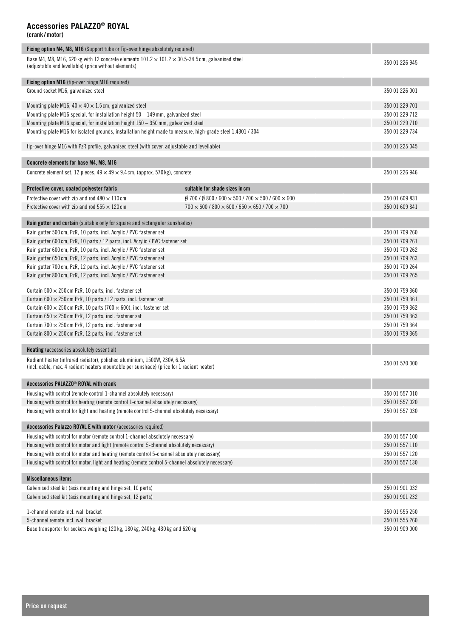**(crank /motor)**

| Fixing option M4, M8, M16 (Support tube or Tip-over hinge absolutely required)                                                                                         |                                                                                            |                |  |  |  |  |  |
|------------------------------------------------------------------------------------------------------------------------------------------------------------------------|--------------------------------------------------------------------------------------------|----------------|--|--|--|--|--|
| Base M4, M8, M16, 620 kg with 12 concrete elements $101.2 \times 101.2 \times 30.5$ -34.5 cm, galvanised steel<br>(adjustable and levellable) (price without elements) |                                                                                            |                |  |  |  |  |  |
| Fixing option M16 (tip-over hinge M16 required)                                                                                                                        |                                                                                            |                |  |  |  |  |  |
| Ground socket M16, galvanized steel                                                                                                                                    |                                                                                            | 350 01 226 001 |  |  |  |  |  |
| Mounting plate M16, $40 \times 40 \times 1.5$ cm, galvanized steel                                                                                                     |                                                                                            | 350 01 229 701 |  |  |  |  |  |
| Mounting plate M16 special, for installation height $50 - 149$ mm, galvanized steel                                                                                    |                                                                                            | 350 01 229 712 |  |  |  |  |  |
| Mounting plate M16 special, for installation height 150 – 350 mm, galvanized steel                                                                                     |                                                                                            | 350 01 229 710 |  |  |  |  |  |
| Mounting plate M16 for isolated grounds, installation height made to measure, high-grade steel 1.4301 / 304                                                            |                                                                                            | 350 01 229 734 |  |  |  |  |  |
| tip-over hinge M16 with PzR profile, galvanised steel (with cover, adjustable and levellable)                                                                          |                                                                                            | 350 01 225 045 |  |  |  |  |  |
| Concrete elements for base M4, M8, M16                                                                                                                                 |                                                                                            |                |  |  |  |  |  |
| Concrete element set, 12 pieces, $49 \times 49 \times 9.4$ cm, (approx. 570 kg), concrete                                                                              |                                                                                            | 350 01 226 946 |  |  |  |  |  |
| Protective cover, coated polyester fabric                                                                                                                              | suitable for shade sizes in cm                                                             |                |  |  |  |  |  |
| Protective cover with zip and rod $480 \times 110$ cm                                                                                                                  | $\emptyset$ 700 / $\emptyset$ 800 / 600 $\times$ 500 / 700 $\times$ 500 / 600 $\times$ 600 | 350 01 609 831 |  |  |  |  |  |
| Protective cover with zip and rod $555 \times 120$ cm                                                                                                                  | $700 \times 600$ / 800 $\times$ 600 / 650 $\times$ 650 / 700 $\times$ 700                  | 350 01 609 841 |  |  |  |  |  |
| Rain gutter and curtain (suitable only for square and rectangular sunshades)                                                                                           |                                                                                            |                |  |  |  |  |  |
| Rain gutter 500 cm, PzR, 10 parts, incl. Acrylic / PVC fastener set                                                                                                    |                                                                                            | 350 01 709 260 |  |  |  |  |  |
| Rain gutter 600 cm, PzR, 10 parts / 12 parts, incl. Acrylic / PVC fastener set                                                                                         |                                                                                            | 350 01 709 261 |  |  |  |  |  |
| Rain gutter 600 cm, PzR, 10 parts, incl. Acrylic / PVC fastener set                                                                                                    |                                                                                            | 350 01 709 262 |  |  |  |  |  |
| Rain gutter 650 cm, PzR, 12 parts, incl. Acrylic / PVC fastener set                                                                                                    |                                                                                            | 350 01 709 263 |  |  |  |  |  |
| Rain gutter 700 cm, PzR, 12 parts, incl. Acrylic / PVC fastener set                                                                                                    |                                                                                            | 350 01 709 264 |  |  |  |  |  |
| Rain gutter 800 cm, PzR, 12 parts, incl. Acrylic / PVC fastener set                                                                                                    |                                                                                            | 350 01 709 265 |  |  |  |  |  |
| Curtain 500 $\times$ 250 cm PzR, 10 parts, incl. fastener set                                                                                                          |                                                                                            | 350 01 759 360 |  |  |  |  |  |
| Curtain 600 $\times$ 250 cm PzR, 10 parts / 12 parts, incl. fastener set                                                                                               |                                                                                            | 350 01 759 361 |  |  |  |  |  |
| Curtain 600 $\times$ 250 cm PzR, 10 parts (700 $\times$ 600), incl. fastener set                                                                                       |                                                                                            | 350 01 759 362 |  |  |  |  |  |
| Curtain 650 $\times$ 250 cm PzR, 12 parts, incl. fastener set                                                                                                          |                                                                                            | 350 01 759 363 |  |  |  |  |  |
| Curtain 700 $\times$ 250 cm PzR, 12 parts, incl. fastener set                                                                                                          |                                                                                            | 350 01 759 364 |  |  |  |  |  |
| Curtain 800 $\times$ 250 cm PzR, 12 parts, incl. fastener set                                                                                                          |                                                                                            | 350 01 759 365 |  |  |  |  |  |
| <b>Heating</b> (accessories absolutely essential)                                                                                                                      |                                                                                            |                |  |  |  |  |  |
| Radiant heater (infrared radiator), polished aluminium, 1500W, 230V, 6.5A<br>(incl. cable, max. 4 radiant heaters mountable per sunshade) (price for 1 radiant heater) |                                                                                            | 350 01 570 300 |  |  |  |  |  |
| Accessories PALAZZO® ROYAL with crank                                                                                                                                  |                                                                                            |                |  |  |  |  |  |
| Housing with control (remote control 1-channel absolutely necessary)                                                                                                   |                                                                                            | 350 01 557 010 |  |  |  |  |  |
| Housing with control for heating (remote control 1-channel absolutely necessary)                                                                                       |                                                                                            | 350 01 557 020 |  |  |  |  |  |
| Housing with control for light and heating (remote control 5-channel absolutely necessary)                                                                             |                                                                                            | 350 01 557 030 |  |  |  |  |  |
| Accessories Palazzo ROYAL E with motor (accessories required)                                                                                                          |                                                                                            |                |  |  |  |  |  |
| Housing with control for motor (remote control 1-channel absolutely necessary)                                                                                         |                                                                                            | 350 01 557 100 |  |  |  |  |  |
| Housing with control for motor and light (remote control 5-channel absolutely necessary)                                                                               |                                                                                            | 350 01 557 110 |  |  |  |  |  |
| Housing with control for motor and heating (remote control 5-channel absolutely necessary)                                                                             |                                                                                            | 350 01 557 120 |  |  |  |  |  |
| Housing with control for motor, light and heating (remote control 5-channel absolutely necessary)                                                                      |                                                                                            | 350 01 557 130 |  |  |  |  |  |
| <b>Miscellaneous items</b>                                                                                                                                             |                                                                                            |                |  |  |  |  |  |
| Galvinised steel kit (axis mounting and hinge set, 10 parts)                                                                                                           |                                                                                            | 350 01 901 032 |  |  |  |  |  |
| Galvinised steel kit (axis mounting and hinge set, 12 parts)                                                                                                           |                                                                                            | 350 01 901 232 |  |  |  |  |  |
| 1-channel remote incl. wall bracket                                                                                                                                    |                                                                                            | 350 01 555 250 |  |  |  |  |  |
| 5-channel remote incl. wall bracket                                                                                                                                    |                                                                                            | 350 01 555 260 |  |  |  |  |  |
|                                                                                                                                                                        |                                                                                            |                |  |  |  |  |  |

Base transporter for sockets weighing 120 kg, 180 kg, 240 kg, 430 kg and 620 kg 350 01 350 01 909 000 350 01 909 000